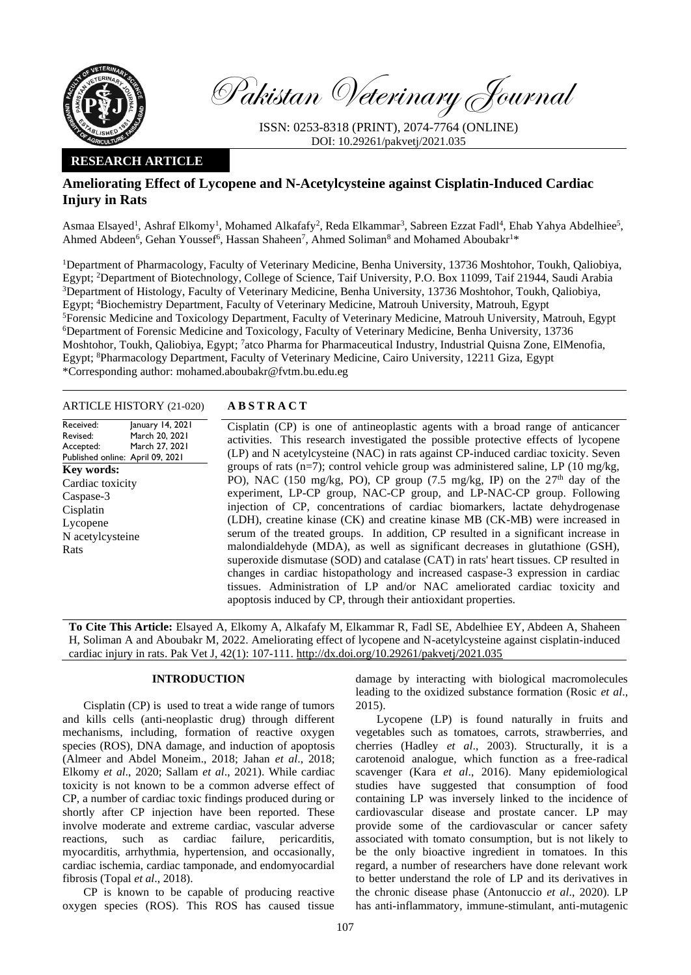

Pakistan Veterinary Journal

ISSN: 0253-8318 (PRINT), 2074-7764 (ONLINE) DOI: 10.29261/pakvetj/2021.035

# **RESEARCH ARTICLE**

# **Ameliorating Effect of Lycopene and N-Acetylcysteine against Cisplatin-Induced Cardiac Injury in Rats**

Asmaa Elsayed<sup>1</sup>, Ashraf Elkomy<sup>1</sup>, Mohamed Alkafafy<sup>2</sup>, Reda Elkammar<sup>3</sup>, Sabreen Ezzat Fadl<sup>4</sup>, Ehab Yahya Abdelhiee<sup>5</sup>, Ahmed Abdeen<sup>6</sup>, Gehan Youssef<sup>6</sup>, Hassan Shaheen<sup>7</sup>, Ahmed Soliman<sup>8</sup> and Mohamed Aboubakr<sup>1\*</sup>

<sup>1</sup>Department of Pharmacology, Faculty of Veterinary Medicine, Benha University, 13736 Moshtohor, Toukh, Qaliobiya, Egypt; <sup>2</sup>Department of Biotechnology, College of Science, Taif University, P.O. Box 11099, Taif 21944, Saudi Arabia <sup>3</sup>Department of Histology, Faculty of Veterinary Medicine, Benha University, 13736 Moshtohor, Toukh, Qaliobiya, Egypt; <sup>4</sup>Biochemistry Department, Faculty of Veterinary Medicine, Matrouh University, Matrouh, Egypt <sup>5</sup>Forensic Medicine and Toxicology Department, Faculty of Veterinary Medicine, Matrouh University, Matrouh, Egypt <sup>6</sup>Department of Forensic Medicine and Toxicology, Faculty of Veterinary Medicine, Benha University, 13736 Moshtohor, Toukh, Qaliobiya, Egypt; <sup>7</sup>atco Pharma for Pharmaceutical Industry, Industrial Quisna Zone, ElMenofia, Egypt; <sup>8</sup>Pharmacology Department, Faculty of Veterinary Medicine, Cairo University, 12211 Giza, Egypt \*Corresponding author: [mohamed.aboubakr@fvtm.bu.edu.eg](mailto:mohamed.aboubakr@fvtm.bu.edu.eg)

ARTICLE HISTORY (21-020) **A B S T R A C T**

Received: Revised: Accepted: Published online: April 09, 2021 January 14, 2021 March 20, 2021 March 27, 2021 **Key words:**  Cardiac toxicity Caspase-3 Cisplatin Lycopene N acetylcysteine Rats

Cisplatin (CP) is one of antineoplastic agents with a broad range of anticancer activities. This research investigated the possible protective effects of lycopene (LP) and N acetylcysteine (NAC) in rats against CP-induced cardiac toxicity. Seven groups of rats ( $n=7$ ); control vehicle group was administered saline, LP ( $10 \text{ mg/kg}$ , PO), NAC (150 mg/kg, PO), CP group (7.5 mg/kg, IP) on the  $27<sup>th</sup>$  day of the experiment, LP-CP group, NAC-CP group, and LP-NAC-CP group. Following injection of CP, concentrations of cardiac biomarkers, lactate dehydrogenase (LDH), creatine kinase (CK) and creatine kinase MB (CK-MB) were increased in serum of the treated groups. In addition, CP resulted in a significant increase in malondialdehyde (MDA), as well as significant decreases in glutathione (GSH), superoxide dismutase (SOD) and catalase (CAT) in rats' heart tissues. CP resulted in changes in cardiac histopathology and increased caspase-3 expression in cardiac tissues. Administration of LP and/or NAC ameliorated cardiac toxicity and apoptosis induced by CP, through their antioxidant properties.

**To Cite This Article:** Elsayed A, Elkomy A, Alkafafy M, Elkammar R, Fadl SE, [Abdelhiee](https://www.ncbi.nlm.nih.gov/pubmed/?term=Abdelhiee%20EY%5BAuthor%5D&cauthor=true&cauthor_uid=30938206) EY, Abdeen A, Shaheen H, Soliman A and Aboubakr M, 2022. Ameliorating effect of lycopene and N-acetylcysteine against cisplatin-induced cardiac injury in rats. Pak Vet J, 42(1): 107-111[. http://dx.doi.org/10.29261/pakvetj/2021.035](http://pvj.com.pk/pdf-files/42_1/107-111.pdf)

## **INTRODUCTION**

Cisplatin (CP) is used to treat a wide range of tumors and kills cells (anti-neoplastic drug) through different mechanisms, including, formation of reactive oxygen species (ROS), DNA damage, and induction of apoptosis (Almeer and Abdel Moneim., 2018; Jahan *et al*., 2018; Elkomy *et al*., 2020; Sallam *et al*., 2021). While cardiac toxicity is not known to be a common adverse effect of CP, a number of cardiac toxic findings produced during or shortly after CP injection have been reported. These involve moderate and extreme cardiac, vascular adverse reactions, such as cardiac failure, pericarditis, myocarditis, arrhythmia, hypertension, and occasionally, cardiac ischemia, cardiac tamponade, and endomyocardial fibrosis (Topal *et al*., 2018).

CP is known to be capable of producing reactive oxygen species (ROS). This ROS has caused tissue

damage by interacting with biological macromolecules leading to the oxidized substance formation (Rosic *et al*., 2015).

Lycopene (LP) is found naturally in fruits and vegetables such as tomatoes, carrots, strawberries, and cherries (Hadley *et al*., 2003). Structurally, it is a carotenoid analogue, which function as a free-radical scavenger (Kara *et al*., 2016). Many epidemiological studies have suggested that consumption of food containing LP was inversely linked to the incidence of cardiovascular disease and prostate cancer. LP may provide some of the cardiovascular or cancer safety associated with tomato consumption, but is not likely to be the only bioactive ingredient in tomatoes. In this regard, a number of researchers have done relevant work to better understand the role of LP and its derivatives in the chronic disease phase (Antonuccio *et al*., 2020). LP has anti-inflammatory, immune-stimulant, anti-mutagenic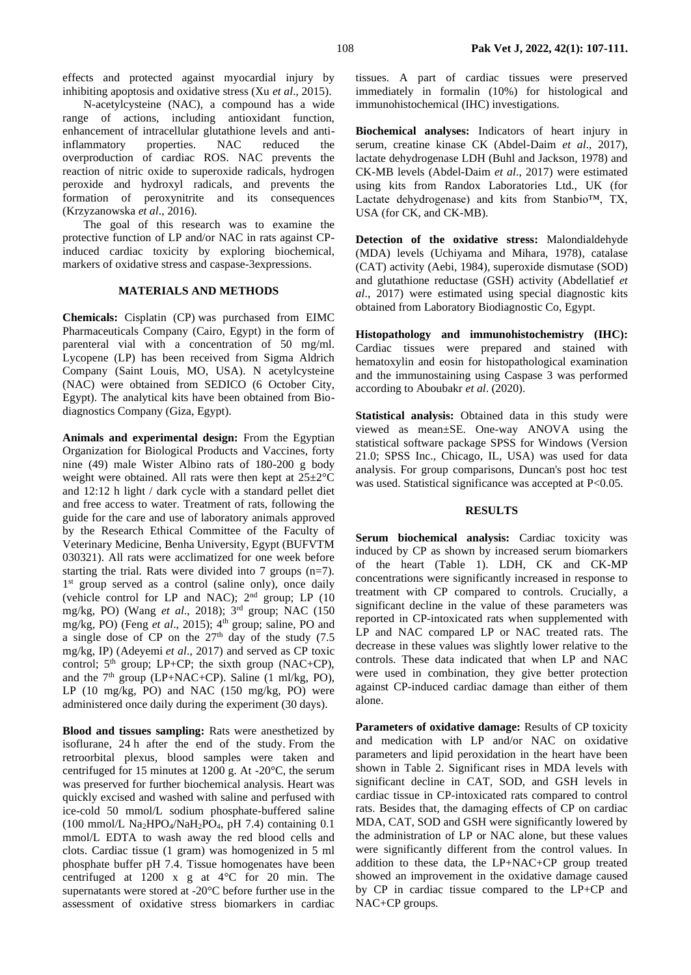effects and protected against myocardial injury by inhibiting apoptosis and oxidative stress (Xu *et al*., 2015).

N-acetylcysteine (NAC), a compound has a wide range of actions, including antioxidant function, enhancement of intracellular glutathione levels and antiinflammatory properties. NAC reduced the overproduction of cardiac ROS. NAC prevents the reaction of nitric oxide to superoxide radicals, hydrogen peroxide and hydroxyl radicals, and prevents the formation of peroxynitrite and its consequences (Krzyzanowska *et al*., 2016).

The goal of this research was to examine the protective function of LP and/or NAC in rats against CPinduced cardiac toxicity by exploring biochemical, markers of oxidative stress and caspase-3expressions.

## **MATERIALS AND METHODS**

**Chemicals:** Cisplatin (CP) was purchased from EIMC Pharmaceuticals Company (Cairo, Egypt) in the form of parenteral vial with a concentration of 50 mg/ml. Lycopene (LP) has been received from Sigma Aldrich Company (Saint Louis, MO, USA). N acetylcysteine (NAC) were obtained from SEDICO (6 October City, Egypt). The analytical kits have been obtained from Biodiagnostics Company (Giza, Egypt).

**Animals and experimental design:** From the Egyptian Organization for Biological Products and Vaccines, forty nine (49) male Wister Albino rats of 180-200 g body weight were obtained. All rats were then kept at  $25 \pm 2^{\circ}$ C and 12:12 h light / dark cycle with a standard pellet diet and free access to water. Treatment of rats, following the guide for the care and use of laboratory animals approved by the Research Ethical Committee of the Faculty of Veterinary Medicine, Benha University, Egypt (BUFVTM 030321). All rats were acclimatized for one week before starting the trial. Rats were divided into 7 groups (n=7). 1<sup>st</sup> group served as a control (saline only), once daily (vehicle control for LP and NAC); 2nd group; LP (10 mg/kg, PO) (Wang *et al*., 2018); 3rd group; NAC (150 mg/kg, PO) (Feng et al., 2015); 4<sup>th</sup> group; saline, PO and a single dose of CP on the  $27<sup>th</sup>$  day of the study (7.5) mg/kg, IP) [\(Adeyemi](https://www.ncbi.nlm.nih.gov/pubmed/?term=Adeyemi%20OO%5BAuthor%5D&cauthor=true&cauthor_uid=29236674) *et al*., 2017) and served as CP toxic control;  $5<sup>th</sup>$  group; LP+CP; the sixth group (NAC+CP), and the  $7<sup>th</sup>$  group (LP+NAC+CP). Saline (1 ml/kg, PO), LP (10 mg/kg, PO) and NAC (150 mg/kg, PO) were administered once daily during the experiment (30 days).

**Blood and tissues sampling:** Rats were anesthetized by isoflurane, 24 h after the end of the study. From the retroorbital plexus, blood samples were taken and centrifuged for 15 minutes at 1200 g. At -20°C, the serum was preserved for further biochemical analysis. Heart was quickly excised and washed with saline and perfused with ice-cold 50 mmol/L sodium phosphate-buffered saline (100 mmol/L Na<sub>2</sub>HPO<sub>4</sub>/NaH<sub>2</sub>PO<sub>4</sub>, pH 7.4) containing 0.1 mmol/L EDTA to wash away the red blood cells and clots. Cardiac tissue (1 gram) was homogenized in 5 ml phosphate buffer pH 7.4. Tissue homogenates have been centrifuged at 1200 x g at 4°C for 20 min. The supernatants were stored at -20°C before further use in the assessment of oxidative stress biomarkers in cardiac

tissues. A part of cardiac tissues were preserved immediately in formalin (10%) for histological and immunohistochemical (IHC) investigations.

**Biochemical analyses:** Indicators of heart injury in serum, creatine kinase CK (Abdel-Daim *et al*., 2017), lactate dehydrogenase LDH (Buhl and Jackson, 1978) and CK-MB levels (Abdel-Daim *et al*., 2017) were estimated using kits from Randox Laboratories Ltd., UK (for Lactate dehydrogenase) and kits from Stanbio™, TX, USA (for CK, and CK-MB).

**Detection of the oxidative stress:** Malondialdehyde (MDA) levels (Uchiyama and Mihara, 1978), catalase (CAT) activity (Aebi, 1984), superoxide dismutase (SOD) and glutathione reductase (GSH) activity (Abdellatief *et al*., 2017) were estimated using special diagnostic kits obtained from Laboratory Biodiagnostic Co, Egypt.

**Histopathology and immunohistochemistry (IHC):** Cardiac tissues were prepared and stained with hematoxylin and eosin for histopathological examination and the immunostaining using Caspase 3 was performed according to Aboubakr *et al*. (2020).

**Statistical analysis:** Obtained data in this study were viewed as mean±SE. One-way ANOVA using the statistical software package SPSS for Windows (Version 21.0; SPSS Inc., Chicago, IL, USA) was used for data analysis. For group comparisons, Duncan's post hoc test was used. Statistical significance was accepted at P<0.05.

#### **RESULTS**

**Serum biochemical analysis:** Cardiac toxicity was induced by CP as shown by increased serum biomarkers of the heart (Table 1). LDH, CK and CK-MP concentrations were significantly increased in response to treatment with CP compared to controls. Crucially, a significant decline in the value of these parameters was reported in CP-intoxicated rats when supplemented with LP and NAC compared LP or NAC treated rats. The decrease in these values was slightly lower relative to the controls. These data indicated that when LP and NAC were used in combination, they give better protection against CP-induced cardiac damage than either of them alone.

**Parameters of oxidative damage:** Results of CP toxicity and medication with LP and/or NAC on oxidative parameters and lipid peroxidation in the heart have been shown in Table 2. Significant rises in MDA levels with significant decline in CAT, SOD, and GSH levels in cardiac tissue in CP-intoxicated rats compared to control rats. Besides that, the damaging effects of CP on cardiac MDA, CAT, SOD and GSH were significantly lowered by the administration of LP or NAC alone, but these values were significantly different from the control values. In addition to these data, the LP+NAC+CP group treated showed an improvement in the oxidative damage caused by CP in cardiac tissue compared to the LP+CP and NAC+CP groups.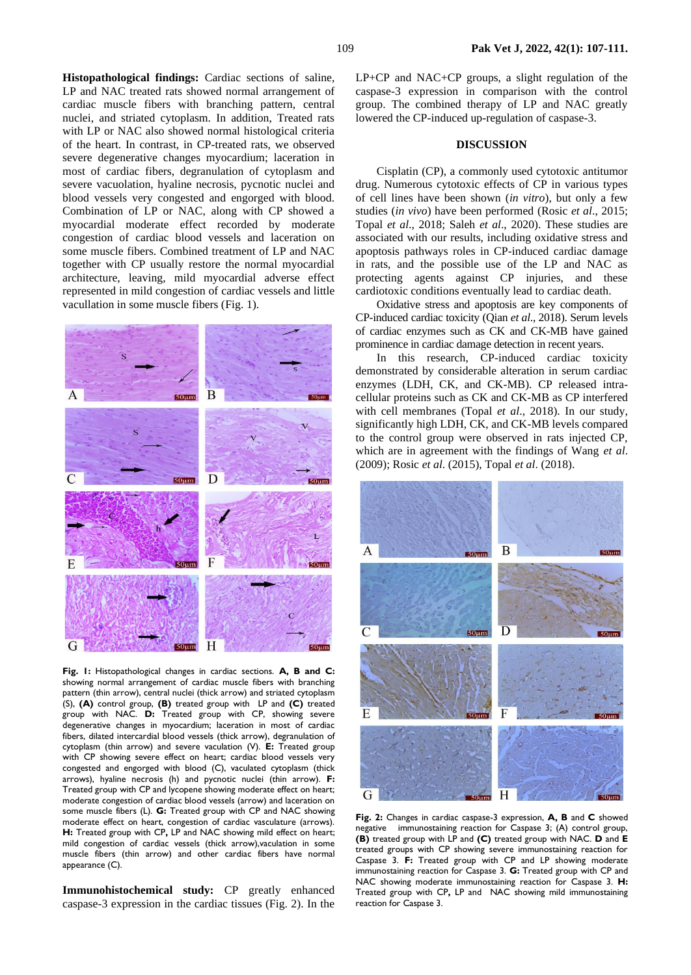**Histopathological findings:** Cardiac sections of saline, LP and NAC treated rats showed normal arrangement of cardiac muscle fibers with branching pattern, central nuclei, and striated cytoplasm. In addition, Treated rats with LP or NAC also showed normal histological criteria of the heart. In contrast, in CP-treated rats, we observed severe degenerative changes myocardium; laceration in most of cardiac fibers, degranulation of cytoplasm and severe vacuolation, hyaline necrosis, pycnotic nuclei and blood vessels very congested and engorged with blood. Combination of LP or NAC, along with CP showed a myocardial moderate effect recorded by moderate congestion of cardiac blood vessels and laceration on some muscle fibers. Combined treatment of LP and NAC together with CP usually restore the normal myocardial architecture, leaving, mild myocardial adverse effect represented in mild congestion of cardiac vessels and little vacullation in some muscle fibers (Fig. 1).



**Fig. 1:** Histopathological changes in cardiac sections. **A, B and C:** showing normal arrangement of cardiac muscle fibers with branching pattern (thin arrow), central nuclei (thick arrow) and striated cytoplasm (S), **(A)** control group, **(B)** treated group with LP and **(C)** treated group with NAC. **D:** Treated group with CP, showing severe degenerative changes in myocardium; laceration in most of cardiac fibers, dilated intercardial blood vessels (thick arrow), degranulation of cytoplasm (thin arrow) and severe vaculation (V). **E:** Treated group with CP showing severe effect on heart; cardiac blood vessels very congested and engorged with blood (C), vaculated cytoplasm (thick arrows), hyaline necrosis (h) and pycnotic nuclei (thin arrow). **F:** Treated group with CP and lycopene showing moderate effect on heart; moderate congestion of cardiac blood vessels (arrow) and laceration on some muscle fibers (L). **G:** Treated group with CP and NAC showing moderate effect on heart, congestion of cardiac vasculature (arrows). **H:** Treated group with CP**,** LP and NAC showing mild effect on heart; mild congestion of cardiac vessels (thick arrow),vaculation in some muscle fibers (thin arrow) and other cardiac fibers have normal appearance (C).

**Immunohistochemical study:** CP greatly enhanced caspase-3 expression in the cardiac tissues (Fig. 2). In the

LP+CP and NAC+CP groups, a slight regulation of the caspase-3 expression in comparison with the control group. The combined therapy of LP and NAC greatly lowered the CP-induced up-regulation of caspase-3.

## **DISCUSSION**

Cisplatin (CP), a commonly used cytotoxic antitumor drug. Numerous cytotoxic effects of CP in various types of cell lines have been shown (*in vitro*), but only a few studies (*in vivo*) have been performed (Rosic *et al*., 2015; Topal *et al*., 2018; Saleh *et al*., 2020). These studies are associated with our results, including oxidative stress and apoptosis pathways roles in CP-induced cardiac damage in rats, and the possible use of the LP and NAC as protecting agents against CP injuries, and these cardiotoxic conditions eventually lead to cardiac death.

Oxidative stress and apoptosis are key components of CP-induced cardiac toxicity (Qian *et al*., 2018). Serum levels of cardiac enzymes such as CK and CK-MB have gained prominence in cardiac damage detection in recent years.

In this research, CP-induced cardiac toxicity demonstrated by considerable alteration in serum cardiac enzymes (LDH, CK, and CK-MB). CP released intracellular proteins such as CK and CK-MB as CP interfered with cell membranes (Topal *et al*., 2018). In our study, significantly high LDH, CK, and CK-MB levels compared to the control group were observed in rats injected CP, which are in agreement with the findings of Wang *et al*. (2009); Rosic *et al*. (2015), Topal *et al*. (2018).



**Fig. 2:** Changes in cardiac caspase-3 expression, **A, B** and **C** showed negative immunostaining reaction for Caspase 3; (A) control group, **(B)** treated group with LP and **(C)** treated group with NAC. **D** and **E** treated groups with CP showing severe immunostaining reaction for Caspase 3. **F:** Treated group with CP and LP showing moderate immunostaining reaction for Caspase 3. **G:** Treated group with CP and NAC showing moderate immunostaining reaction for Caspase 3. **H:**  Treated group with CP**,** LP and NAC showing mild immunostaining reaction for Caspase 3.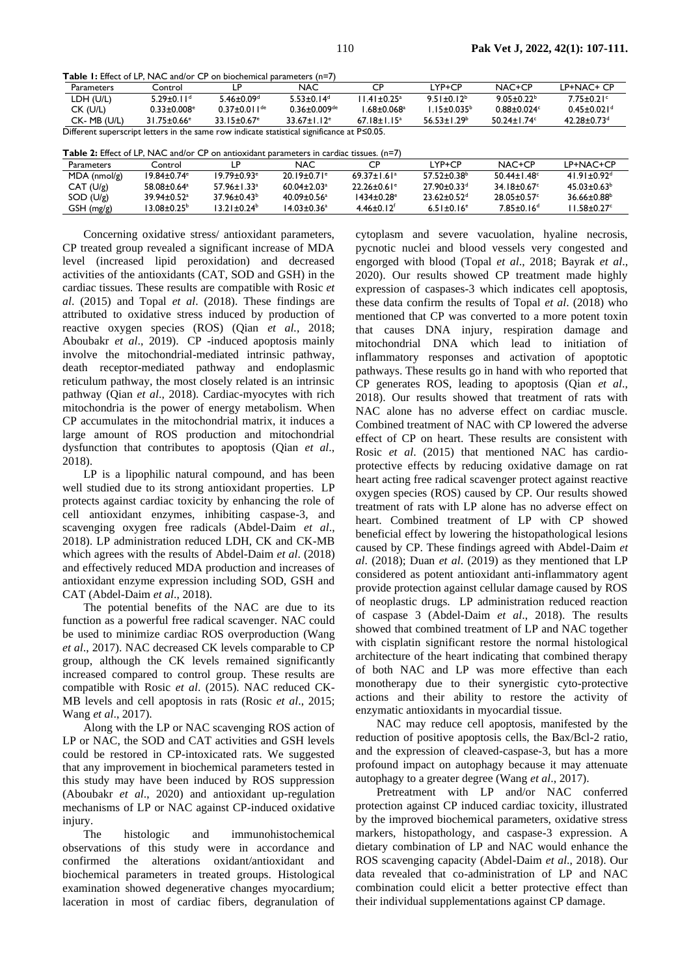Table 1: Effect of LP, NAC and/or CP on biochemical parameters (n=7)

| <b>Parameters</b>                                                                                 | Control                       |                               | <b>NAC</b>                   | СÞ                          | LYP+CP            | $NAC+CP$         | LP+NAC+ CP                  |  |  |  |
|---------------------------------------------------------------------------------------------------|-------------------------------|-------------------------------|------------------------------|-----------------------------|-------------------|------------------|-----------------------------|--|--|--|
| LDH (U/L)                                                                                         | $5.29 \pm 0.11$ <sup>d</sup>  | $5.46 + 0.09d$                | $5.53+0.14d$                 | $11.41 + 0.25$ <sup>a</sup> | $9.51 \pm 0.12^b$ | $9.05 + 0.22$    | $7.75 + 0.21$ °             |  |  |  |
| CK (U/L)                                                                                          | $0.33 + 0.008$ <sup>e</sup>   | $0.37 + 0.011$ <sup>de</sup>  | $0.36 + 0.009$ <sup>de</sup> | L68+0.068ª                  | $1.15 + 0.035^b$  | $0.88 + 0.024c$  | $0.45 + 0.021$ <sup>d</sup> |  |  |  |
| CK-MB (U/L)                                                                                       | $31.75 \pm 0.66$ <sup>e</sup> | $33.15 \pm 0.67$ <sup>e</sup> | $33.67 + 1.12$ <sup>e</sup>  | $67.18 \pm 1.15^a$          | $56.53 + 1.29b$   | $50.24 + 1.74$ ° | $42.28 + 0.73d$             |  |  |  |
| Different superscript letters in the same row indicate statistical significance at $P \le 0.05$ . |                               |                               |                              |                             |                   |                  |                             |  |  |  |

Table 2:  $Fff_{ext}$  of LB, NAC and/an CB an antiquidant commuter in conditations (n=7)

| <b>Table 2:</b> Ellect of EF. INAC and/of CF on anuoxidant barameters in cardiac ussues. (n–7) |                             |                             |                             |                               |                             |                        |                  |  |  |  |  |
|------------------------------------------------------------------------------------------------|-----------------------------|-----------------------------|-----------------------------|-------------------------------|-----------------------------|------------------------|------------------|--|--|--|--|
| <b>Parameters</b>                                                                              | Controll                    |                             | NAC.                        |                               | l YP+CP                     | $NAC+CP$               | LP+NAC+CP        |  |  |  |  |
| $MDA$ (nmol/g)                                                                                 | $19.84 + 0.74$ <sup>e</sup> | $19.79 + 0.93$ <sup>e</sup> | $20.19 + 0.71$ <sup>e</sup> | $69.37 \pm 1.61$ <sup>a</sup> | $57.52 + 0.38^b$            | $50.44 + 1.48^{\circ}$ | $41.91 + 0.92d$  |  |  |  |  |
| CAT (U/g)                                                                                      | 58.08+0.64 <sup>a</sup>     | $57.96 + 1.33a$             | $60.04 + 2.03a$             | $22.26 + 0.61$ <sup>e</sup>   | $27.90 + 0.33$ <sup>d</sup> | $34.18 + 0.67$ °       | $45.03 + 0.63^b$ |  |  |  |  |
| SOD (U/g)                                                                                      | $39.94 + 0.52$ <sup>a</sup> | $37.96 + 0.43^b$            | $40.09 + 0.56$ <sup>a</sup> | $1434 + 0.28$ <sup>e</sup>    | $23.62 + 0.52$ <sup>d</sup> | 28.05+0.57°            | $36.66 + 0.88^b$ |  |  |  |  |
| $GSH$ (mg/g)                                                                                   | 13.08+0.25 <sup>b</sup>     | $13.21 + 0.24^b$            | 14.03+0.36ª                 | $4.46 + 0.12$ <sup>f</sup>    | $6.51 + 0.16$ <sup>e</sup>  | $7.85 + 0.16d$         | $11.58 + 0.27$ ° |  |  |  |  |
|                                                                                                |                             |                             |                             |                               |                             |                        |                  |  |  |  |  |

Concerning oxidative stress/ antioxidant parameters, CP treated group revealed a significant increase of MDA level (increased lipid peroxidation) and decreased activities of the antioxidants (CAT, SOD and GSH) in the cardiac tissues. These results are compatible with Rosic et al.  $(2015)$  and Topal *et al.*  $(2018)$ . These findings are attributed to oxidative stress induced by production of reactive oxygen species (ROS) (Oian et al., 2018; Aboubakr et al., 2019). CP -induced apoptosis mainly involve the mitochondrial-mediated intrinsic pathway, death receptor-mediated pathway and endoplasmic reticulum pathway, the most closely related is an intrinsic pathway (Qian et al., 2018). Cardiac-myocytes with rich mitochondria is the power of energy metabolism. When CP accumulates in the mitochondrial matrix, it induces a large amount of ROS production and mitochondrial dysfunction that contributes to apoptosis (Qian et al., 2018).

LP is a lipophilic natural compound, and has been well studied due to its strong antioxidant properties. LP protects against cardiac toxicity by enhancing the role of cell antioxidant enzymes, inhibiting caspase-3, and scavenging oxygen free radicals (Abdel-Daim et al., 2018). LP administration reduced LDH, CK and CK-MB which agrees with the results of Abdel-Daim et al. (2018) and effectively reduced MDA production and increases of antioxidant enzyme expression including SOD, GSH and CAT (Abdel-Daim et al., 2018).

The potential benefits of the NAC are due to its function as a powerful free radical scavenger. NAC could be used to minimize cardiac ROS overproduction (Wang et al., 2017). NAC decreased CK levels comparable to CP group, although the CK levels remained significantly increased compared to control group. These results are compatible with Rosic et al. (2015). NAC reduced CK-MB levels and cell apoptosis in rats (Rosic et al., 2015; Wang et al., 2017).

Along with the LP or NAC scavenging ROS action of LP or NAC, the SOD and CAT activities and GSH levels could be restored in CP-intoxicated rats. We suggested that any improvement in biochemical parameters tested in this study may have been induced by ROS suppression (Aboubakr et al., 2020) and antioxidant up-regulation mechanisms of LP or NAC against CP-induced oxidative injury.

The histologic and immunohistochemical observations of this study were in accordance and confirmed the alterations oxidant/antioxidant and biochemical parameters in treated groups. Histological examination showed degenerative changes myocardium; laceration in most of cardiac fibers, degranulation of cytoplasm and severe vacuolation, hyaline necrosis, pycnotic nuclei and blood vessels very congested and engorged with blood (Topal et al., 2018; Bayrak et al., 2020). Our results showed CP treatment made highly expression of caspases-3 which indicates cell apoptosis, these data confirm the results of Topal et al. (2018) who mentioned that CP was converted to a more potent toxin that causes DNA injury, respiration damage and mitochondrial DNA which lead to initiation of inflammatory responses and activation of apoptotic pathways. These results go in hand with who reported that CP generates ROS, leading to apoptosis (Qian et al., 2018). Our results showed that treatment of rats with NAC alone has no adverse effect on cardiac muscle. Combined treatment of NAC with CP lowered the adverse effect of CP on heart. These results are consistent with Rosic et al. (2015) that mentioned NAC has cardioprotective effects by reducing oxidative damage on rat heart acting free radical scavenger protect against reactive oxygen species (ROS) caused by CP. Our results showed treatment of rats with LP alone has no adverse effect on heart. Combined treatment of LP with CP showed beneficial effect by lowering the histopathological lesions caused by CP. These findings agreed with Abdel-Daim et al. (2018); Duan et al. (2019) as they mentioned that LP considered as potent antioxidant anti-inflammatory agent provide protection against cellular damage caused by ROS of neoplastic drugs. LP administration reduced reaction of caspase 3 (Abdel-Daim et al., 2018). The results showed that combined treatment of LP and NAC together with cisplatin significant restore the normal histological architecture of the heart indicating that combined therapy of both NAC and LP was more effective than each monotherapy due to their synergistic cyto-protective actions and their ability to restore the activity of enzymatic antioxidants in myocardial tissue.

NAC may reduce cell apoptosis, manifested by the reduction of positive apoptosis cells, the Bax/Bcl-2 ratio, and the expression of cleaved-caspase-3, but has a more profound impact on autophagy because it may attenuate autophagy to a greater degree (Wang et al., 2017).

Pretreatment with LP and/or NAC conferred protection against CP induced cardiac toxicity, illustrated by the improved biochemical parameters, oxidative stress markers, histopathology, and caspase-3 expression. A dietary combination of LP and NAC would enhance the ROS scavenging capacity (Abdel-Daim et al., 2018). Our data revealed that co-administration of LP and NAC combination could elicit a better protective effect than their individual supplementations against CP damage.